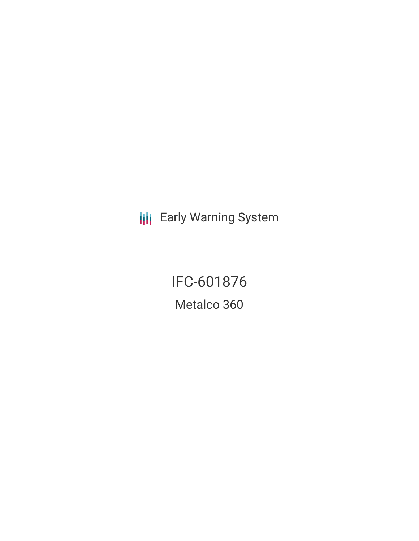**III** Early Warning System

IFC-601876 Metalco 360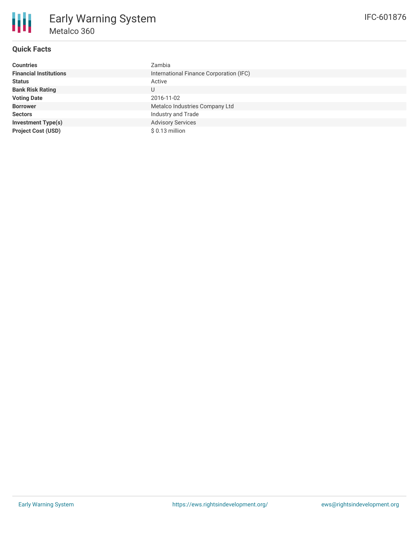

# **Quick Facts**

| <b>Countries</b>              | Zambia                                  |
|-------------------------------|-----------------------------------------|
| <b>Financial Institutions</b> | International Finance Corporation (IFC) |
| <b>Status</b>                 | Active                                  |
| <b>Bank Risk Rating</b>       | U                                       |
| <b>Voting Date</b>            | 2016-11-02                              |
| <b>Borrower</b>               | Metalco Industries Company Ltd          |
| <b>Sectors</b>                | Industry and Trade                      |
| <b>Investment Type(s)</b>     | <b>Advisory Services</b>                |
| <b>Project Cost (USD)</b>     | $$0.13$ million                         |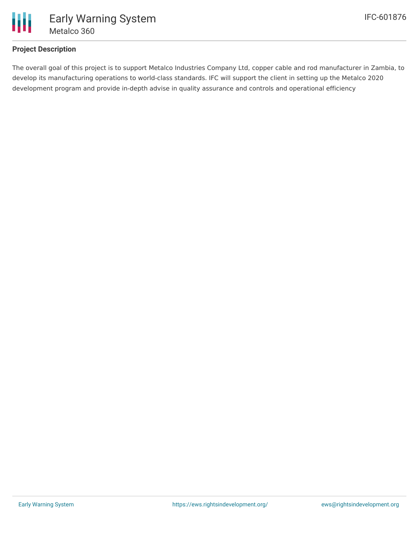

# **Project Description**

The overall goal of this project is to support Metalco Industries Company Ltd, copper cable and rod manufacturer in Zambia, to develop its manufacturing operations to world-class standards. IFC will support the client in setting up the Metalco 2020 development program and provide in-depth advise in quality assurance and controls and operational efficiency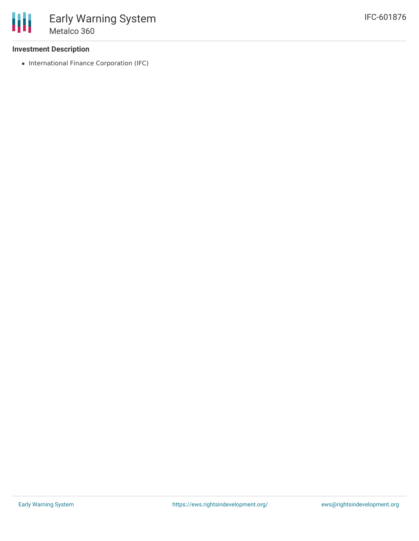## **Investment Description**

• International Finance Corporation (IFC)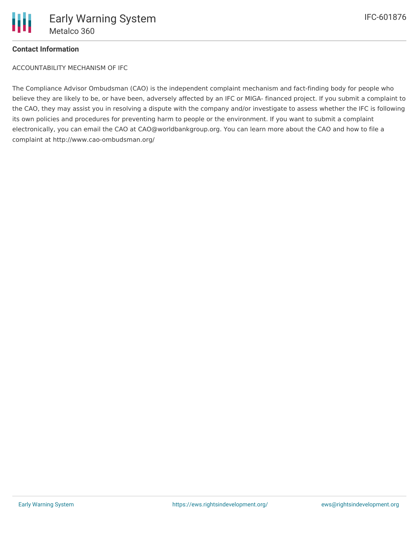

## **Contact Information**

ACCOUNTABILITY MECHANISM OF IFC

The Compliance Advisor Ombudsman (CAO) is the independent complaint mechanism and fact-finding body for people who believe they are likely to be, or have been, adversely affected by an IFC or MIGA- financed project. If you submit a complaint to the CAO, they may assist you in resolving a dispute with the company and/or investigate to assess whether the IFC is following its own policies and procedures for preventing harm to people or the environment. If you want to submit a complaint electronically, you can email the CAO at CAO@worldbankgroup.org. You can learn more about the CAO and how to file a complaint at http://www.cao-ombudsman.org/